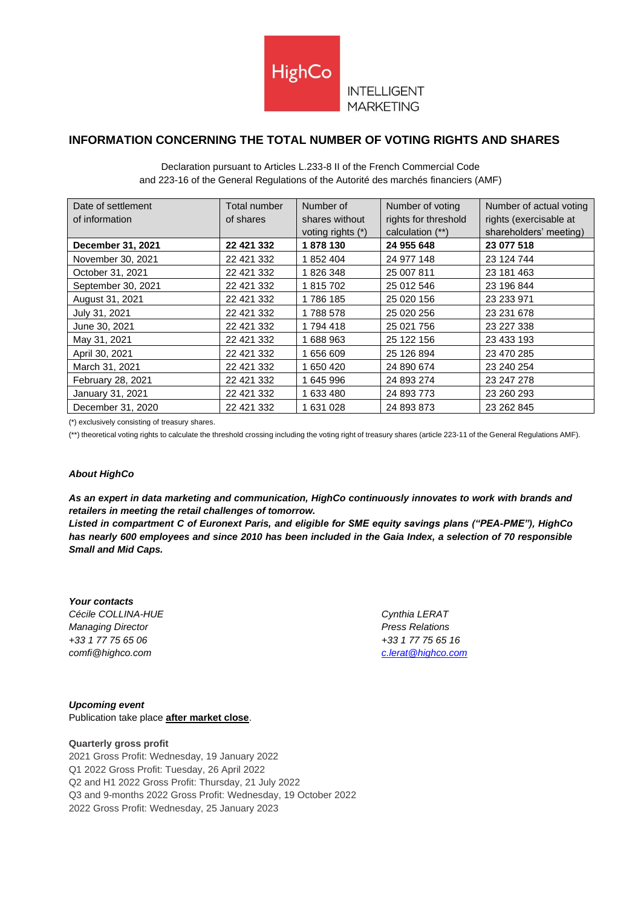

## **INTELLIGENT MARKETING**

# **INFORMATION CONCERNING THE TOTAL NUMBER OF VOTING RIGHTS AND SHARES**

| Declaration pursuant to Articles L.233-8 II of the French Commercial Code          |
|------------------------------------------------------------------------------------|
| and 223-16 of the General Regulations of the Autorité des marchés financiers (AMF) |

| Date of settlement<br>of information | Total number<br>of shares | Number of<br>shares without<br>voting rights $(*)$ | Number of voting<br>rights for threshold<br>calculation (**) | Number of actual voting<br>rights (exercisable at<br>shareholders' meeting) |
|--------------------------------------|---------------------------|----------------------------------------------------|--------------------------------------------------------------|-----------------------------------------------------------------------------|
| December 31, 2021                    | 22 421 332                | 1878 130                                           | 24 955 648                                                   | 23 077 518                                                                  |
| November 30, 2021                    | 22 421 332                | 1 852 404                                          | 24 977 148                                                   | 23 124 744                                                                  |
| October 31, 2021                     | 22 421 332                | 1826348                                            | 25 007 811                                                   | 23 181 463                                                                  |
| September 30, 2021                   | 22 421 332                | 1 815 702                                          | 25 012 546                                                   | 23 196 844                                                                  |
| August 31, 2021                      | 22 421 332                | 1786 185                                           | 25 020 156                                                   | 23 233 971                                                                  |
| July 31, 2021                        | 22 421 332                | 1788578                                            | 25 020 256                                                   | 23 231 678                                                                  |
| June 30, 2021                        | 22 421 332                | 1 794 418                                          | 25 021 756                                                   | 23 227 338                                                                  |
| May 31, 2021                         | 22 421 332                | 1 688 963                                          | 25 122 156                                                   | 23 433 193                                                                  |
| April 30, 2021                       | 22 421 332                | 1 656 609                                          | 25 126 894                                                   | 23 470 285                                                                  |
| March 31, 2021                       | 22 421 332                | 1 650 420                                          | 24 890 674                                                   | 23 240 254                                                                  |
| February 28, 2021                    | 22 421 332                | 1 645 996                                          | 24 893 274                                                   | 23 247 278                                                                  |
| January 31, 2021                     | 22 421 332                | 1 633 480                                          | 24 893 773                                                   | 23 260 293                                                                  |
| December 31, 2020                    | 22 421 332                | 1 631 028                                          | 24 893 873                                                   | 23 262 845                                                                  |

(\*) exclusively consisting of treasury shares.

(\*\*) theoretical voting rights to calculate the threshold crossing including the voting right of treasury shares (article 223-11 of the General Regulations AMF).

#### *About HighCo*

*As an expert in data marketing and communication, HighCo continuously innovates to work with brands and retailers in meeting the retail challenges of tomorrow.* 

*Listed in compartment C of Euronext Paris, and eligible for SME equity savings plans ("PEA-PME"), HighCo has nearly 600 employees and since 2010 has been included in the Gaia Index, a selection of 70 responsible Small and Mid Caps.*

*Your contacts Cécile COLLINA-HUE Cynthia LERAT Managing Director Press Relations +33 1 77 75 65 06 +33 1 77 75 65 16 comfi@highco.com [c.lerat@highco.com](mailto:c.lerat@highco.com)*

*Upcoming event* Publication take place **after market close**.

#### **Quarterly gross profit**

2021 Gross Profit: Wednesday, 19 January 2022 Q1 2022 Gross Profit: Tuesday, 26 April 2022 Q2 and H1 2022 Gross Profit: Thursday, 21 July 2022 Q3 and 9-months 2022 Gross Profit: Wednesday, 19 October 2022 2022 Gross Profit: Wednesday, 25 January 2023